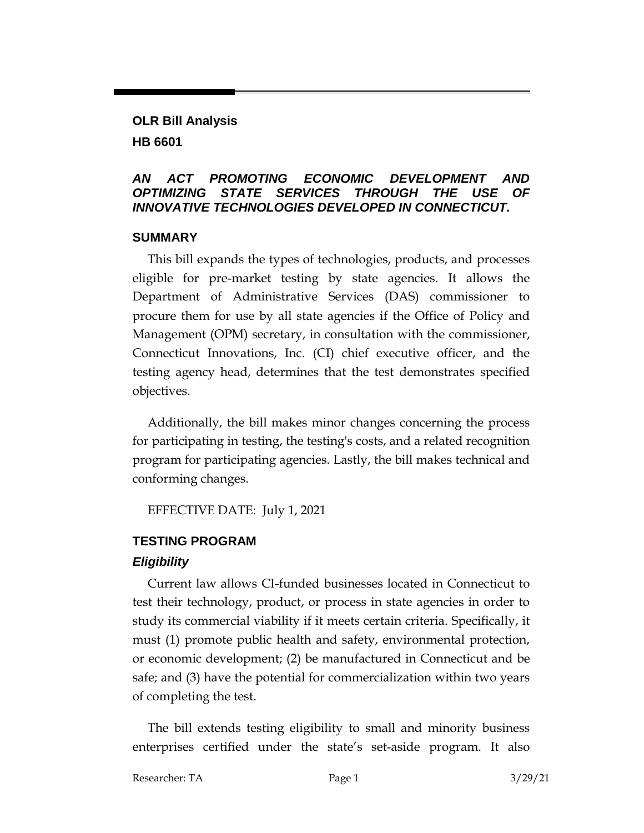# **OLR Bill Analysis HB 6601**

#### *AN ACT PROMOTING ECONOMIC DEVELOPMENT AND OPTIMIZING STATE SERVICES THROUGH THE USE OF INNOVATIVE TECHNOLOGIES DEVELOPED IN CONNECTICUT.*

#### **SUMMARY**

This bill expands the types of technologies, products, and processes eligible for pre-market testing by state agencies. It allows the Department of Administrative Services (DAS) commissioner to procure them for use by all state agencies if the Office of Policy and Management (OPM) secretary, in consultation with the commissioner, Connecticut Innovations, Inc. (CI) chief executive officer, and the testing agency head, determines that the test demonstrates specified objectives.

Additionally, the bill makes minor changes concerning the process for participating in testing, the testing's costs, and a related recognition program for participating agencies. Lastly, the bill makes technical and conforming changes.

EFFECTIVE DATE: July 1, 2021

### **TESTING PROGRAM**

### *Eligibility*

Current law allows CI-funded businesses located in Connecticut to test their technology, product, or process in state agencies in order to study its commercial viability if it meets certain criteria. Specifically, it must (1) promote public health and safety, environmental protection, or economic development; (2) be manufactured in Connecticut and be safe; and (3) have the potential for commercialization within two years of completing the test.

The bill extends testing eligibility to small and minority business enterprises certified under the state's set-aside program. It also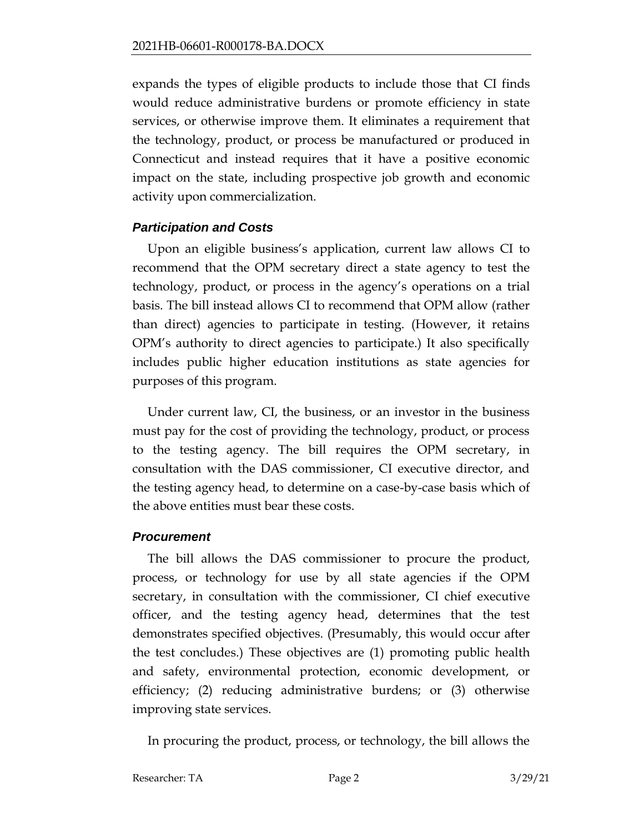expands the types of eligible products to include those that CI finds would reduce administrative burdens or promote efficiency in state services, or otherwise improve them. It eliminates a requirement that the technology, product, or process be manufactured or produced in Connecticut and instead requires that it have a positive economic impact on the state, including prospective job growth and economic activity upon commercialization.

### *Participation and Costs*

Upon an eligible business's application, current law allows CI to recommend that the OPM secretary direct a state agency to test the technology, product, or process in the agency's operations on a trial basis. The bill instead allows CI to recommend that OPM allow (rather than direct) agencies to participate in testing. (However, it retains OPM's authority to direct agencies to participate.) It also specifically includes public higher education institutions as state agencies for purposes of this program.

Under current law, CI, the business, or an investor in the business must pay for the cost of providing the technology, product, or process to the testing agency. The bill requires the OPM secretary, in consultation with the DAS commissioner, CI executive director, and the testing agency head, to determine on a case-by-case basis which of the above entities must bear these costs.

### *Procurement*

The bill allows the DAS commissioner to procure the product, process, or technology for use by all state agencies if the OPM secretary, in consultation with the commissioner, CI chief executive officer, and the testing agency head, determines that the test demonstrates specified objectives. (Presumably, this would occur after the test concludes.) These objectives are (1) promoting public health and safety, environmental protection, economic development, or efficiency; (2) reducing administrative burdens; or (3) otherwise improving state services.

In procuring the product, process, or technology, the bill allows the